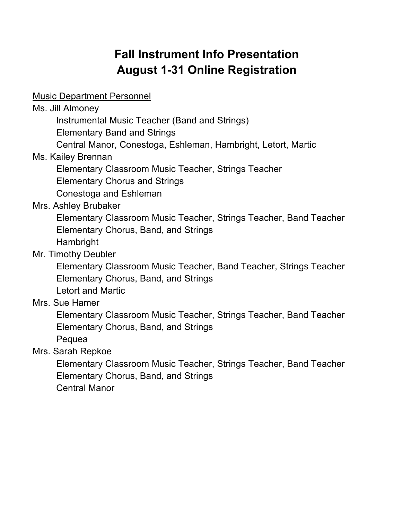# **Fall Instrument Info Presentation August 1-31 Online Registration**

Music Department Personnel

Ms. Jill Almoney

Instrumental Music Teacher (Band and Strings)

Elementary Band and Strings

Central Manor, Conestoga, Eshleman, Hambright, Letort, Martic

Ms. Kailey Brennan

Elementary Classroom Music Teacher, Strings Teacher

Elementary Chorus and Strings

Conestoga and Eshleman

Mrs. Ashley Brubaker

Elementary Classroom Music Teacher, Strings Teacher, Band Teacher Elementary Chorus, Band, and Strings Hambright

Mr. Timothy Deubler

Elementary Classroom Music Teacher, Band Teacher, Strings Teacher Elementary Chorus, Band, and Strings

Letort and Martic

Mrs. Sue Hamer

Elementary Classroom Music Teacher, Strings Teacher, Band Teacher Elementary Chorus, Band, and Strings

Pequea

Mrs. Sarah Repkoe

Elementary Classroom Music Teacher, Strings Teacher, Band Teacher Elementary Chorus, Band, and Strings Central Manor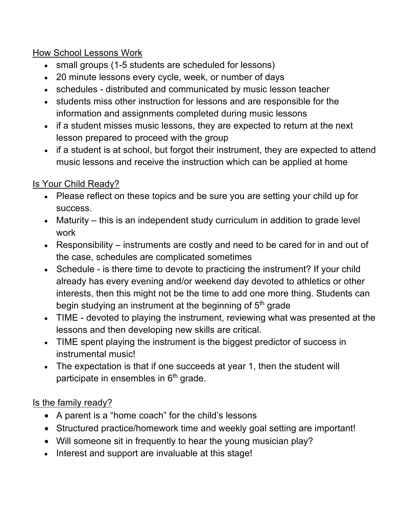### How School Lessons Work

- small groups (1-5 students are scheduled for lessons)
- 20 minute lessons every cycle, week, or number of days
- schedules distributed and communicated by music lesson teacher
- students miss other instruction for lessons and are responsible for the information and assignments completed during music lessons
- if a student misses music lessons, they are expected to return at the next lesson prepared to proceed with the group
- if a student is at school, but forgot their instrument, they are expected to attend music lessons and receive the instruction which can be applied at home

# Is Your Child Ready?

- Please reflect on these topics and be sure you are setting your child up for success.
- Maturity this is an independent study curriculum in addition to grade level work
- Responsibility instruments are costly and need to be cared for in and out of the case, schedules are complicated sometimes
- Schedule is there time to devote to practicing the instrument? If your child already has every evening and/or weekend day devoted to athletics or other interests, then this might not be the time to add one more thing. Students can begin studying an instrument at the beginning of 5<sup>th</sup> grade
- TIME devoted to playing the instrument, reviewing what was presented at the lessons and then developing new skills are critical.
- TIME spent playing the instrument is the biggest predictor of success in instrumental music!
- The expectation is that if one succeeds at year 1, then the student will participate in ensembles in  $6<sup>th</sup>$  grade.

# Is the family ready?

- A parent is a "home coach" for the child's lessons
- Structured practice/homework time and weekly goal setting are important!
- Will someone sit in frequently to hear the young musician play?
- Interest and support are invaluable at this stage!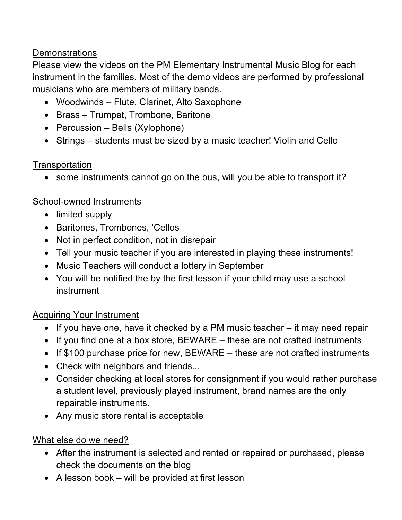### Demonstrations

Please view the videos on the PM Elementary Instrumental Music Blog for each instrument in the families. Most of the demo videos are performed by professional musicians who are members of military bands.

- Woodwinds Flute, Clarinet, Alto Saxophone
- Brass Trumpet, Trombone, Baritone
- Percussion Bells (Xylophone)
- Strings students must be sized by a music teacher! Violin and Cello

# **Transportation**

• some instruments cannot go on the bus, will you be able to transport it?

# School-owned Instruments

- limited supply
- Baritones, Trombones, 'Cellos
- Not in perfect condition, not in disrepair
- Tell your music teacher if you are interested in playing these instruments!
- Music Teachers will conduct a lottery in September
- You will be notified the by the first lesson if your child may use a school instrument

# Acquiring Your Instrument

- If you have one, have it checked by a PM music teacher it may need repair
- If you find one at a box store, BEWARE these are not crafted instruments
- If \$100 purchase price for new, BEWARE these are not crafted instruments
- Check with neighbors and friends...
- Consider checking at local stores for consignment if you would rather purchase a student level, previously played instrument, brand names are the only repairable instruments.
- Any music store rental is acceptable

# What else do we need?

- After the instrument is selected and rented or repaired or purchased, please check the documents on the blog
- A lesson book will be provided at first lesson